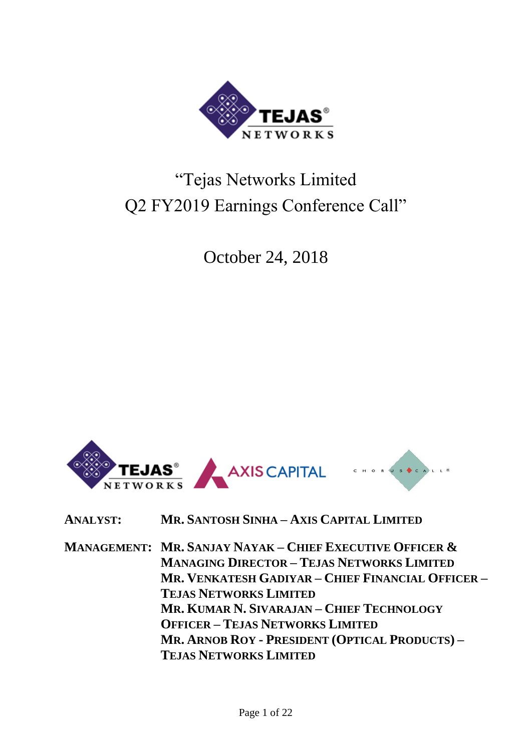

# "Tejas Networks Limited Q2 FY2019 Earnings Conference Call"

October 24, 2018



**ANALYST: MR. SANTOSH SINHA – AXIS CAPITAL LIMITED**

**MANAGEMENT: MR. SANJAY NAYAK – CHIEF EXECUTIVE OFFICER & MANAGING DIRECTOR – TEJAS NETWORKS LIMITED MR. VENKATESH GADIYAR – CHIEF FINANCIAL OFFICER – TEJAS NETWORKS LIMITED MR. KUMAR N. SIVARAJAN – CHIEF TECHNOLOGY OFFICER – TEJAS NETWORKS LIMITED MR. ARNOB ROY - PRESIDENT (OPTICAL PRODUCTS) – TEJAS NETWORKS LIMITED**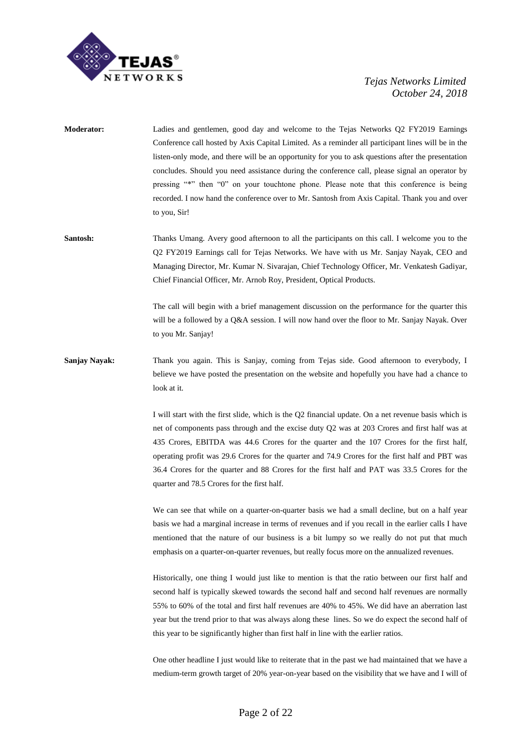

- **Moderator:** Ladies and gentlemen, good day and welcome to the Tejas Networks Q2 FY2019 Earnings Conference call hosted by Axis Capital Limited. As a reminder all participant lines will be in the listen-only mode, and there will be an opportunity for you to ask questions after the presentation concludes. Should you need assistance during the conference call, please signal an operator by pressing "\*" then "0" on your touchtone phone. Please note that this conference is being recorded. I now hand the conference over to Mr. Santosh from Axis Capital. Thank you and over to you, Sir!
- **Santosh:** Thanks Umang. Avery good afternoon to all the participants on this call. I welcome you to the Q2 FY2019 Earnings call for Tejas Networks. We have with us Mr. Sanjay Nayak, CEO and Managing Director, Mr. Kumar N. Sivarajan, Chief Technology Officer, Mr. Venkatesh Gadiyar, Chief Financial Officer, Mr. Arnob Roy, President, Optical Products.

The call will begin with a brief management discussion on the performance for the quarter this will be a followed by a Q&A session. I will now hand over the floor to Mr. Sanjay Nayak. Over to you Mr. Sanjay!

**Sanjay Nayak:** Thank you again. This is Sanjay, coming from Tejas side. Good afternoon to everybody, I believe we have posted the presentation on the website and hopefully you have had a chance to look at it.

> I will start with the first slide, which is the Q2 financial update. On a net revenue basis which is net of components pass through and the excise duty Q2 was at 203 Crores and first half was at 435 Crores, EBITDA was 44.6 Crores for the quarter and the 107 Crores for the first half, operating profit was 29.6 Crores for the quarter and 74.9 Crores for the first half and PBT was 36.4 Crores for the quarter and 88 Crores for the first half and PAT was 33.5 Crores for the quarter and 78.5 Crores for the first half.

> We can see that while on a quarter-on-quarter basis we had a small decline, but on a half year basis we had a marginal increase in terms of revenues and if you recall in the earlier calls I have mentioned that the nature of our business is a bit lumpy so we really do not put that much emphasis on a quarter-on-quarter revenues, but really focus more on the annualized revenues.

> Historically, one thing I would just like to mention is that the ratio between our first half and second half is typically skewed towards the second half and second half revenues are normally 55% to 60% of the total and first half revenues are 40% to 45%. We did have an aberration last year but the trend prior to that was always along these lines. So we do expect the second half of this year to be significantly higher than first half in line with the earlier ratios.

> One other headline I just would like to reiterate that in the past we had maintained that we have a medium-term growth target of 20% year-on-year based on the visibility that we have and I will of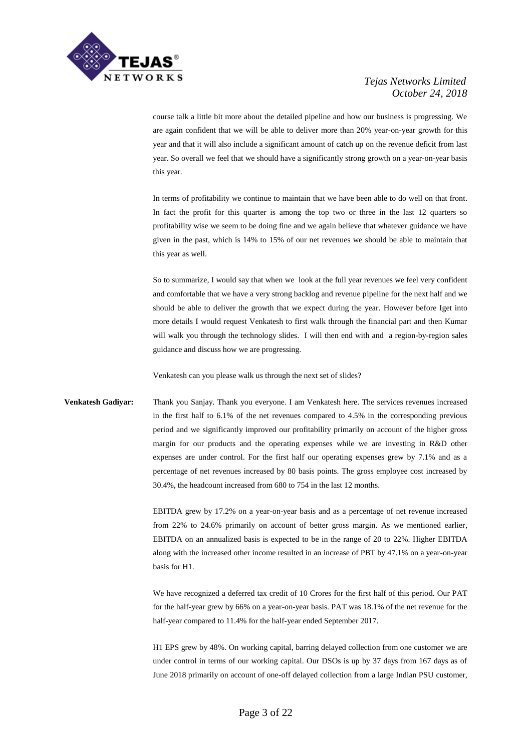

course talk a little bit more about the detailed pipeline and how our business is progressing. We are again confident that we will be able to deliver more than 20% year-on-year growth for this year and that it will also include a significant amount of catch up on the revenue deficit from last year. So overall we feel that we should have a significantly strong growth on a year-on-year basis this year.

In terms of profitability we continue to maintain that we have been able to do well on that front. In fact the profit for this quarter is among the top two or three in the last 12 quarters so profitability wise we seem to be doing fine and we again believe that whatever guidance we have given in the past, which is 14% to 15% of our net revenues we should be able to maintain that this year as well.

So to summarize, I would say that when we look at the full year revenues we feel very confident and comfortable that we have a very strong backlog and revenue pipeline for the next half and we should be able to deliver the growth that we expect during the year. However before Iget into more details I would request Venkatesh to first walk through the financial part and then Kumar will walk you through the technology slides. I will then end with and a region-by-region sales guidance and discuss how we are progressing.

Venkatesh can you please walk us through the next set of slides?

**Venkatesh Gadiyar:** Thank you Sanjay. Thank you everyone. I am Venkatesh here. The services revenues increased in the first half to 6.1% of the net revenues compared to 4.5% in the corresponding previous period and we significantly improved our profitability primarily on account of the higher gross margin for our products and the operating expenses while we are investing in R&D other expenses are under control. For the first half our operating expenses grew by 7.1% and as a percentage of net revenues increased by 80 basis points. The gross employee cost increased by 30.4%, the headcount increased from 680 to 754 in the last 12 months.

> EBITDA grew by 17.2% on a year-on-year basis and as a percentage of net revenue increased from 22% to 24.6% primarily on account of better gross margin. As we mentioned earlier, EBITDA on an annualized basis is expected to be in the range of 20 to 22%. Higher EBITDA along with the increased other income resulted in an increase of PBT by 47.1% on a year-on-year basis for H1.

> We have recognized a deferred tax credit of 10 Crores for the first half of this period. Our PAT for the half-year grew by 66% on a year-on-year basis. PAT was 18.1% of the net revenue for the half-year compared to 11.4% for the half-year ended September 2017.

> H1 EPS grew by 48%. On working capital, barring delayed collection from one customer we are under control in terms of our working capital. Our DSOs is up by 37 days from 167 days as of June 2018 primarily on account of one-off delayed collection from a large Indian PSU customer,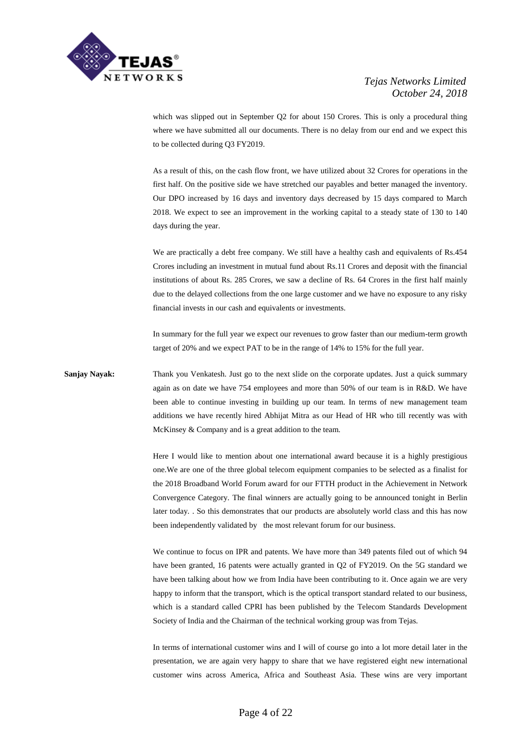

which was slipped out in September Q2 for about 150 Crores. This is only a procedural thing where we have submitted all our documents. There is no delay from our end and we expect this to be collected during Q3 FY2019.

As a result of this, on the cash flow front, we have utilized about 32 Crores for operations in the first half. On the positive side we have stretched our payables and better managed the inventory. Our DPO increased by 16 days and inventory days decreased by 15 days compared to March 2018. We expect to see an improvement in the working capital to a steady state of 130 to 140 days during the year.

We are practically a debt free company. We still have a healthy cash and equivalents of Rs.454 Crores including an investment in mutual fund about Rs.11 Crores and deposit with the financial institutions of about Rs. 285 Crores, we saw a decline of Rs. 64 Crores in the first half mainly due to the delayed collections from the one large customer and we have no exposure to any risky financial invests in our cash and equivalents or investments.

In summary for the full year we expect our revenues to grow faster than our medium-term growth target of 20% and we expect PAT to be in the range of 14% to 15% for the full year.

**Sanjay Nayak:** Thank you Venkatesh. Just go to the next slide on the corporate updates. Just a quick summary again as on date we have 754 employees and more than 50% of our team is in R&D. We have been able to continue investing in building up our team. In terms of new management team additions we have recently hired Abhijat Mitra as our Head of HR who till recently was with McKinsey & Company and is a great addition to the team.

> Here I would like to mention about one international award because it is a highly prestigious one.We are one of the three global telecom equipment companies to be selected as a finalist for the 2018 Broadband World Forum award for our FTTH product in the Achievement in Network Convergence Category. The final winners are actually going to be announced tonight in Berlin later today. . So this demonstrates that our products are absolutely world class and this has now been independently validated by the most relevant forum for our business.

> We continue to focus on IPR and patents. We have more than 349 patents filed out of which 94 have been granted, 16 patents were actually granted in Q2 of FY2019. On the 5G standard we have been talking about how we from India have been contributing to it. Once again we are very happy to inform that the transport, which is the optical transport standard related to our business, which is a standard called CPRI has been published by the Telecom Standards Development Society of India and the Chairman of the technical working group was from Tejas.

> In terms of international customer wins and I will of course go into a lot more detail later in the presentation, we are again very happy to share that we have registered eight new international customer wins across America, Africa and Southeast Asia. These wins are very important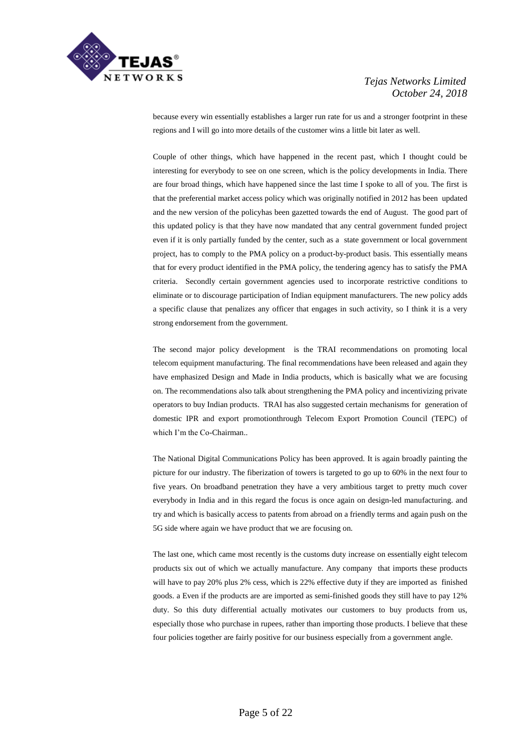

because every win essentially establishes a larger run rate for us and a stronger footprint in these regions and I will go into more details of the customer wins a little bit later as well.

Couple of other things, which have happened in the recent past, which I thought could be interesting for everybody to see on one screen, which is the policy developments in India. There are four broad things, which have happened since the last time I spoke to all of you. The first is that the preferential market access policy which was originally notified in 2012 has been updated and the new version of the policyhas been gazetted towards the end of August. The good part of this updated policy is that they have now mandated that any central government funded project even if it is only partially funded by the center, such as a state government or local government project, has to comply to the PMA policy on a product-by-product basis. This essentially means that for every product identified in the PMA policy, the tendering agency has to satisfy the PMA criteria. Secondly certain government agencies used to incorporate restrictive conditions to eliminate or to discourage participation of Indian equipment manufacturers. The new policy adds a specific clause that penalizes any officer that engages in such activity, so I think it is a very strong endorsement from the government.

The second major policy development is the TRAI recommendations on promoting local telecom equipment manufacturing. The final recommendations have been released and again they have emphasized Design and Made in India products, which is basically what we are focusing on. The recommendations also talk about strengthening the PMA policy and incentivizing private operators to buy Indian products. TRAI has also suggested certain mechanisms for generation of domestic IPR and export promotionthrough Telecom Export Promotion Council (TEPC) of which I'm the Co-Chairman..

The National Digital Communications Policy has been approved. It is again broadly painting the picture for our industry. The fiberization of towers is targeted to go up to 60% in the next four to five years. On broadband penetration they have a very ambitious target to pretty much cover everybody in India and in this regard the focus is once again on design-led manufacturing. and try and which is basically access to patents from abroad on a friendly terms and again push on the 5G side where again we have product that we are focusing on.

The last one, which came most recently is the customs duty increase on essentially eight telecom products six out of which we actually manufacture. Any company that imports these products will have to pay 20% plus 2% cess, which is 22% effective duty if they are imported as finished goods. a Even if the products are are imported as semi-finished goods they still have to pay 12% duty. So this duty differential actually motivates our customers to buy products from us, especially those who purchase in rupees, rather than importing those products. I believe that these four policies together are fairly positive for our business especially from a government angle.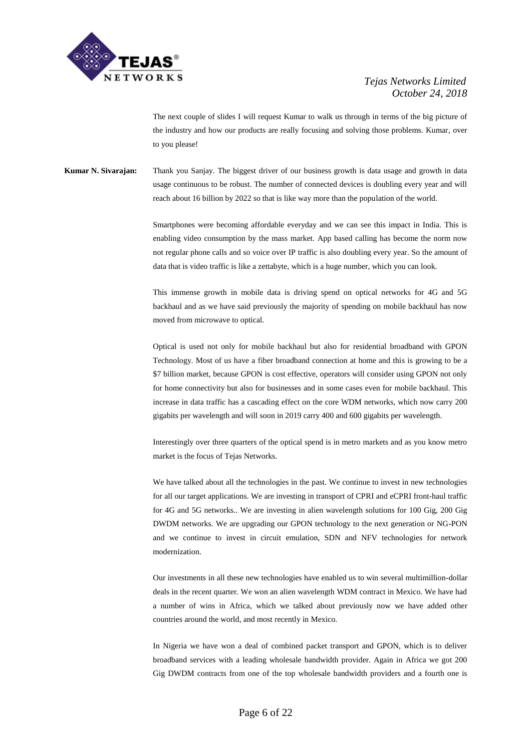

The next couple of slides I will request Kumar to walk us through in terms of the big picture of the industry and how our products are really focusing and solving those problems. Kumar, over to you please!

**Kumar N. Sivarajan:** Thank you Sanjay. The biggest driver of our business growth is data usage and growth in data usage continuous to be robust. The number of connected devices is doubling every year and will reach about 16 billion by 2022 so that is like way more than the population of the world.

> Smartphones were becoming affordable everyday and we can see this impact in India. This is enabling video consumption by the mass market. App based calling has become the norm now not regular phone calls and so voice over IP traffic is also doubling every year. So the amount of data that is video traffic is like a zettabyte, which is a huge number, which you can look.

> This immense growth in mobile data is driving spend on optical networks for 4G and 5G backhaul and as we have said previously the majority of spending on mobile backhaul has now moved from microwave to optical.

> Optical is used not only for mobile backhaul but also for residential broadband with GPON Technology. Most of us have a fiber broadband connection at home and this is growing to be a \$7 billion market, because GPON is cost effective, operators will consider using GPON not only for home connectivity but also for businesses and in some cases even for mobile backhaul. This increase in data traffic has a cascading effect on the core WDM networks, which now carry 200 gigabits per wavelength and will soon in 2019 carry 400 and 600 gigabits per wavelength.

> Interestingly over three quarters of the optical spend is in metro markets and as you know metro market is the focus of Tejas Networks.

> We have talked about all the technologies in the past. We continue to invest in new technologies for all our target applications. We are investing in transport of CPRI and eCPRI front-haul traffic for 4G and 5G networks.. We are investing in alien wavelength solutions for 100 Gig, 200 Gig DWDM networks. We are upgrading our GPON technology to the next generation or NG-PON and we continue to invest in circuit emulation, SDN and NFV technologies for network modernization.

> Our investments in all these new technologies have enabled us to win several multimillion-dollar deals in the recent quarter. We won an alien wavelength WDM contract in Mexico. We have had a number of wins in Africa, which we talked about previously now we have added other countries around the world, and most recently in Mexico.

> In Nigeria we have won a deal of combined packet transport and GPON, which is to deliver broadband services with a leading wholesale bandwidth provider. Again in Africa we got 200 Gig DWDM contracts from one of the top wholesale bandwidth providers and a fourth one is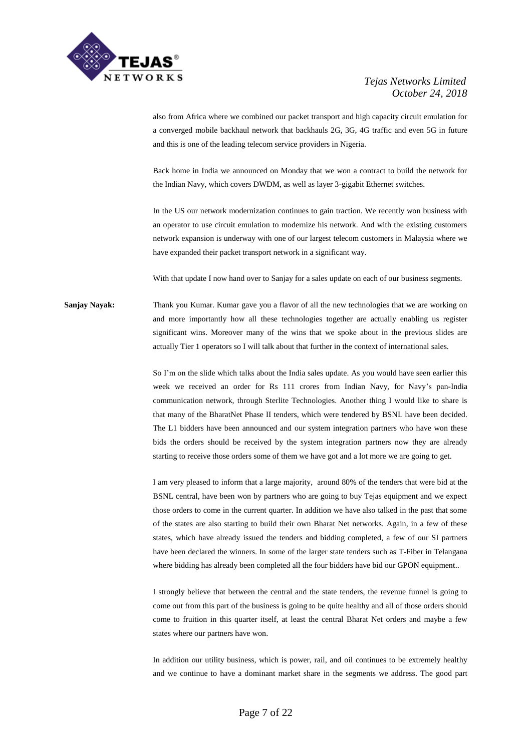

also from Africa where we combined our packet transport and high capacity circuit emulation for a converged mobile backhaul network that backhauls 2G, 3G, 4G traffic and even 5G in future and this is one of the leading telecom service providers in Nigeria.

Back home in India we announced on Monday that we won a contract to build the network for the Indian Navy, which covers DWDM, as well as layer 3-gigabit Ethernet switches.

In the US our network modernization continues to gain traction. We recently won business with an operator to use circuit emulation to modernize his network. And with the existing customers network expansion is underway with one of our largest telecom customers in Malaysia where we have expanded their packet transport network in a significant way.

With that update I now hand over to Sanjay for a sales update on each of our business segments.

**Sanjay Nayak:** Thank you Kumar. Kumar gave you a flavor of all the new technologies that we are working on and more importantly how all these technologies together are actually enabling us register significant wins. Moreover many of the wins that we spoke about in the previous slides are actually Tier 1 operators so I will talk about that further in the context of international sales.

> So I'm on the slide which talks about the India sales update. As you would have seen earlier this week we received an order for Rs 111 crores from Indian Navy, for Navy's pan-India communication network, through Sterlite Technologies. Another thing I would like to share is that many of the BharatNet Phase II tenders, which were tendered by BSNL have been decided. The L1 bidders have been announced and our system integration partners who have won these bids the orders should be received by the system integration partners now they are already starting to receive those orders some of them we have got and a lot more we are going to get.

> I am very pleased to inform that a large majority, around 80% of the tenders that were bid at the BSNL central, have been won by partners who are going to buy Tejas equipment and we expect those orders to come in the current quarter. In addition we have also talked in the past that some of the states are also starting to build their own Bharat Net networks. Again, in a few of these states, which have already issued the tenders and bidding completed, a few of our SI partners have been declared the winners. In some of the larger state tenders such as T-Fiber in Telangana where bidding has already been completed all the four bidders have bid our GPON equipment..

> I strongly believe that between the central and the state tenders, the revenue funnel is going to come out from this part of the business is going to be quite healthy and all of those orders should come to fruition in this quarter itself, at least the central Bharat Net orders and maybe a few states where our partners have won.

> In addition our utility business, which is power, rail, and oil continues to be extremely healthy and we continue to have a dominant market share in the segments we address. The good part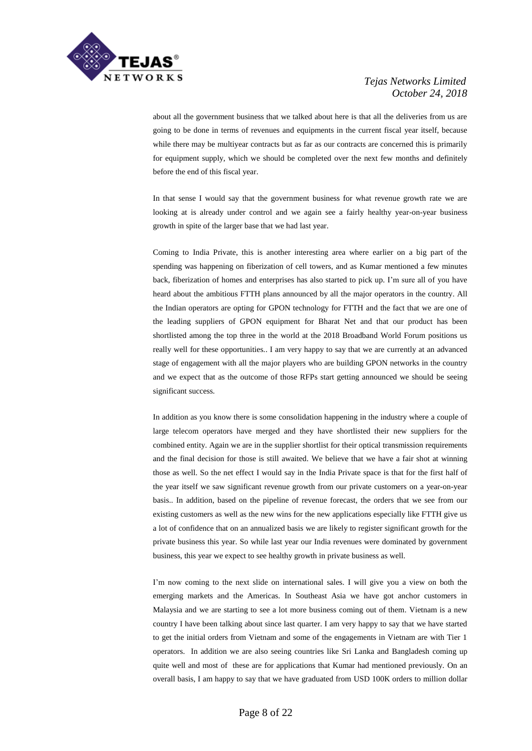

about all the government business that we talked about here is that all the deliveries from us are going to be done in terms of revenues and equipments in the current fiscal year itself, because while there may be multiyear contracts but as far as our contracts are concerned this is primarily for equipment supply, which we should be completed over the next few months and definitely before the end of this fiscal year.

In that sense I would say that the government business for what revenue growth rate we are looking at is already under control and we again see a fairly healthy year-on-year business growth in spite of the larger base that we had last year.

Coming to India Private, this is another interesting area where earlier on a big part of the spending was happening on fiberization of cell towers, and as Kumar mentioned a few minutes back, fiberization of homes and enterprises has also started to pick up. I'm sure all of you have heard about the ambitious FTTH plans announced by all the major operators in the country. All the Indian operators are opting for GPON technology for FTTH and the fact that we are one of the leading suppliers of GPON equipment for Bharat Net and that our product has been shortlisted among the top three in the world at the 2018 Broadband World Forum positions us really well for these opportunities.. I am very happy to say that we are currently at an advanced stage of engagement with all the major players who are building GPON networks in the country and we expect that as the outcome of those RFPs start getting announced we should be seeing significant success.

In addition as you know there is some consolidation happening in the industry where a couple of large telecom operators have merged and they have shortlisted their new suppliers for the combined entity. Again we are in the supplier shortlist for their optical transmission requirements and the final decision for those is still awaited. We believe that we have a fair shot at winning those as well. So the net effect I would say in the India Private space is that for the first half of the year itself we saw significant revenue growth from our private customers on a year-on-year basis.. In addition, based on the pipeline of revenue forecast, the orders that we see from our existing customers as well as the new wins for the new applications especially like FTTH give us a lot of confidence that on an annualized basis we are likely to register significant growth for the private business this year. So while last year our India revenues were dominated by government business, this year we expect to see healthy growth in private business as well.

I'm now coming to the next slide on international sales. I will give you a view on both the emerging markets and the Americas. In Southeast Asia we have got anchor customers in Malaysia and we are starting to see a lot more business coming out of them. Vietnam is a new country I have been talking about since last quarter. I am very happy to say that we have started to get the initial orders from Vietnam and some of the engagements in Vietnam are with Tier 1 operators. In addition we are also seeing countries like Sri Lanka and Bangladesh coming up quite well and most of these are for applications that Kumar had mentioned previously. On an overall basis, I am happy to say that we have graduated from USD 100K orders to million dollar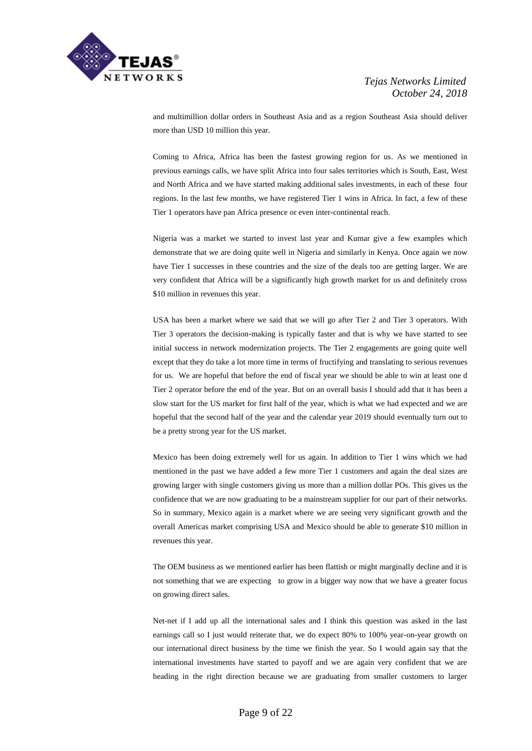

and multimillion dollar orders in Southeast Asia and as a region Southeast Asia should deliver more than USD 10 million this year.

Coming to Africa, Africa has been the fastest growing region for us. As we mentioned in previous earnings calls, we have split Africa into four sales territories which is South, East, West and North Africa and we have started making additional sales investments, in each of these four regions. In the last few months, we have registered Tier 1 wins in Africa. In fact, a few of these Tier 1 operators have pan Africa presence or even inter-continental reach.

Nigeria was a market we started to invest last year and Kumar give a few examples which demonstrate that we are doing quite well in Nigeria and similarly in Kenya. Once again we now have Tier 1 successes in these countries and the size of the deals too are getting larger. We are very confident that Africa will be a significantly high growth market for us and definitely cross \$10 million in revenues this year.

USA has been a market where we said that we will go after Tier 2 and Tier 3 operators. With Tier 3 operators the decision-making is typically faster and that is why we have started to see initial success in network modernization projects. The Tier 2 engagements are going quite well except that they do take a lot more time in terms of fructifying and translating to serious revenues for us. We are hopeful that before the end of fiscal year we should be able to win at least one d Tier 2 operator before the end of the year. But on an overall basis I should add that it has been a slow start for the US market for first half of the year, which is what we had expected and we are hopeful that the second half of the year and the calendar year 2019 should eventually turn out to be a pretty strong year for the US market.

Mexico has been doing extremely well for us again. In addition to Tier 1 wins which we had mentioned in the past we have added a few more Tier 1 customers and again the deal sizes are growing larger with single customers giving us more than a million dollar POs. This gives us the confidence that we are now graduating to be a mainstream supplier for our part of their networks. So in summary, Mexico again is a market where we are seeing very significant growth and the overall Americas market comprising USA and Mexico should be able to generate \$10 million in revenues this year.

The OEM business as we mentioned earlier has been flattish or might marginally decline and it is not something that we are expecting to grow in a bigger way now that we have a greater focus on growing direct sales.

Net-net if I add up all the international sales and I think this question was asked in the last earnings call so I just would reiterate that, we do expect 80% to 100% year-on-year growth on our international direct business by the time we finish the year. So I would again say that the international investments have started to payoff and we are again very confident that we are heading in the right direction because we are graduating from smaller customers to larger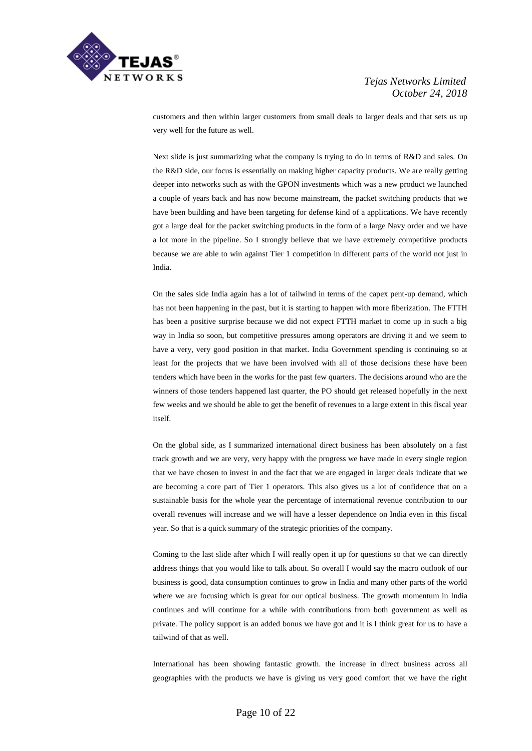

customers and then within larger customers from small deals to larger deals and that sets us up very well for the future as well.

Next slide is just summarizing what the company is trying to do in terms of R&D and sales. On the R&D side, our focus is essentially on making higher capacity products. We are really getting deeper into networks such as with the GPON investments which was a new product we launched a couple of years back and has now become mainstream, the packet switching products that we have been building and have been targeting for defense kind of a applications. We have recently got a large deal for the packet switching products in the form of a large Navy order and we have a lot more in the pipeline. So I strongly believe that we have extremely competitive products because we are able to win against Tier 1 competition in different parts of the world not just in India.

On the sales side India again has a lot of tailwind in terms of the capex pent-up demand, which has not been happening in the past, but it is starting to happen with more fiberization. The FTTH has been a positive surprise because we did not expect FTTH market to come up in such a big way in India so soon, but competitive pressures among operators are driving it and we seem to have a very, very good position in that market. India Government spending is continuing so at least for the projects that we have been involved with all of those decisions these have been tenders which have been in the works for the past few quarters. The decisions around who are the winners of those tenders happened last quarter, the PO should get released hopefully in the next few weeks and we should be able to get the benefit of revenues to a large extent in this fiscal year itself.

On the global side, as I summarized international direct business has been absolutely on a fast track growth and we are very, very happy with the progress we have made in every single region that we have chosen to invest in and the fact that we are engaged in larger deals indicate that we are becoming a core part of Tier 1 operators. This also gives us a lot of confidence that on a sustainable basis for the whole year the percentage of international revenue contribution to our overall revenues will increase and we will have a lesser dependence on India even in this fiscal year. So that is a quick summary of the strategic priorities of the company.

Coming to the last slide after which I will really open it up for questions so that we can directly address things that you would like to talk about. So overall I would say the macro outlook of our business is good, data consumption continues to grow in India and many other parts of the world where we are focusing which is great for our optical business. The growth momentum in India continues and will continue for a while with contributions from both government as well as private. The policy support is an added bonus we have got and it is I think great for us to have a tailwind of that as well.

International has been showing fantastic growth. the increase in direct business across all geographies with the products we have is giving us very good comfort that we have the right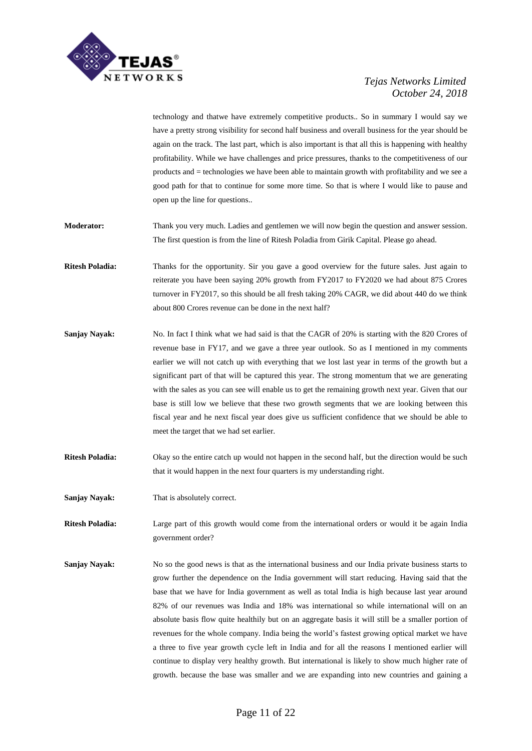

technology and thatwe have extremely competitive products.. So in summary I would say we have a pretty strong visibility for second half business and overall business for the year should be again on the track. The last part, which is also important is that all this is happening with healthy profitability. While we have challenges and price pressures, thanks to the competitiveness of our products and = technologies we have been able to maintain growth with profitability and we see a good path for that to continue for some more time. So that is where I would like to pause and open up the line for questions..

**Moderator:** Thank you very much. Ladies and gentlemen we will now begin the question and answer session. The first question is from the line of Ritesh Poladia from Girik Capital. Please go ahead.

- **Ritesh Poladia:** Thanks for the opportunity. Sir you gave a good overview for the future sales. Just again to reiterate you have been saying 20% growth from FY2017 to FY2020 we had about 875 Crores turnover in FY2017, so this should be all fresh taking 20% CAGR, we did about 440 do we think about 800 Crores revenue can be done in the next half?
- **Sanjay Nayak:** No. In fact I think what we had said is that the CAGR of 20% is starting with the 820 Crores of revenue base in FY17, and we gave a three year outlook. So as I mentioned in my comments earlier we will not catch up with everything that we lost last year in terms of the growth but a significant part of that will be captured this year. The strong momentum that we are generating with the sales as you can see will enable us to get the remaining growth next year. Given that our base is still low we believe that these two growth segments that we are looking between this fiscal year and he next fiscal year does give us sufficient confidence that we should be able to meet the target that we had set earlier.
- **Ritesh Poladia:** Okay so the entire catch up would not happen in the second half, but the direction would be such that it would happen in the next four quarters is my understanding right.

**Sanjay Nayak:** That is absolutely correct.

**Ritesh Poladia:** Large part of this growth would come from the international orders or would it be again India government order?

**Sanjay Nayak:** No so the good news is that as the international business and our India private business starts to grow further the dependence on the India government will start reducing. Having said that the base that we have for India government as well as total India is high because last year around 82% of our revenues was India and 18% was international so while international will on an absolute basis flow quite healthily but on an aggregate basis it will still be a smaller portion of revenues for the whole company. India being the world's fastest growing optical market we have a three to five year growth cycle left in India and for all the reasons I mentioned earlier will continue to display very healthy growth. But international is likely to show much higher rate of growth. because the base was smaller and we are expanding into new countries and gaining a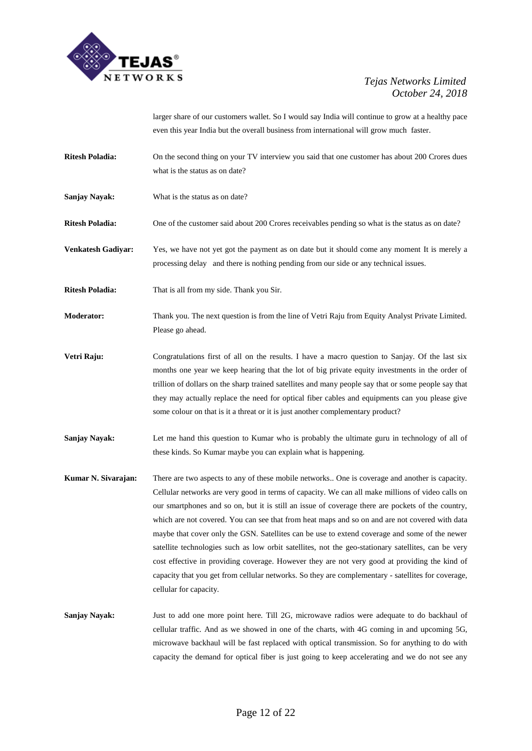

larger share of our customers wallet. So I would say India will continue to grow at a healthy pace even this year India but the overall business from international will grow much faster.

- **Ritesh Poladia:** On the second thing on your TV interview you said that one customer has about 200 Crores dues what is the status as on date?
- **Sanjay Nayak:** What is the status as on date?

**Ritesh Poladia:** One of the customer said about 200 Crores receivables pending so what is the status as on date?

- **Venkatesh Gadiyar:** Yes, we have not yet got the payment as on date but it should come any moment It is merely a processing delay and there is nothing pending from our side or any technical issues.
- **Ritesh Poladia:** That is all from my side. Thank you Sir.

**Moderator:** Thank you. The next question is from the line of Vetri Raju from Equity Analyst Private Limited. Please go ahead.

- **Vetri Raju:** Congratulations first of all on the results. I have a macro question to Sanjay. Of the last six months one year we keep hearing that the lot of big private equity investments in the order of trillion of dollars on the sharp trained satellites and many people say that or some people say that they may actually replace the need for optical fiber cables and equipments can you please give some colour on that is it a threat or it is just another complementary product?
- **Sanjay Nayak:** Let me hand this question to Kumar who is probably the ultimate guru in technology of all of these kinds. So Kumar maybe you can explain what is happening.
- **Kumar N. Sivarajan:** There are two aspects to any of these mobile networks.. One is coverage and another is capacity. Cellular networks are very good in terms of capacity. We can all make millions of video calls on our smartphones and so on, but it is still an issue of coverage there are pockets of the country, which are not covered. You can see that from heat maps and so on and are not covered with data maybe that cover only the GSN. Satellites can be use to extend coverage and some of the newer satellite technologies such as low orbit satellites, not the geo-stationary satellites, can be very cost effective in providing coverage. However they are not very good at providing the kind of capacity that you get from cellular networks. So they are complementary - satellites for coverage, cellular for capacity.
- **Sanjay Nayak:** Just to add one more point here. Till 2G, microwave radios were adequate to do backhaul of cellular traffic. And as we showed in one of the charts, with 4G coming in and upcoming 5G, microwave backhaul will be fast replaced with optical transmission. So for anything to do with capacity the demand for optical fiber is just going to keep accelerating and we do not see any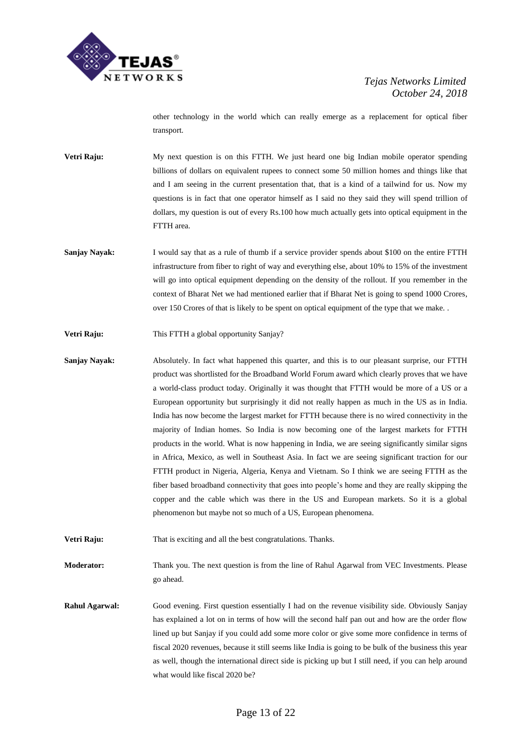

other technology in the world which can really emerge as a replacement for optical fiber transport.

- **Vetri Raju:** My next question is on this FTTH. We just heard one big Indian mobile operator spending billions of dollars on equivalent rupees to connect some 50 million homes and things like that and I am seeing in the current presentation that, that is a kind of a tailwind for us. Now my questions is in fact that one operator himself as I said no they said they will spend trillion of dollars, my question is out of every Rs.100 how much actually gets into optical equipment in the FTTH area.
- **Sanjay Nayak:** I would say that as a rule of thumb if a service provider spends about \$100 on the entire FTTH infrastructure from fiber to right of way and everything else, about 10% to 15% of the investment will go into optical equipment depending on the density of the rollout. If you remember in the context of Bharat Net we had mentioned earlier that if Bharat Net is going to spend 1000 Crores, over 150 Crores of that is likely to be spent on optical equipment of the type that we make. .
- **Vetri Raju:** This FTTH a global opportunity Sanjay?
- **Sanjay Nayak:** Absolutely. In fact what happened this quarter, and this is to our pleasant surprise, our FTTH product was shortlisted for the Broadband World Forum award which clearly proves that we have a world-class product today. Originally it was thought that FTTH would be more of a US or a European opportunity but surprisingly it did not really happen as much in the US as in India. India has now become the largest market for FTTH because there is no wired connectivity in the majority of Indian homes. So India is now becoming one of the largest markets for FTTH products in the world. What is now happening in India, we are seeing significantly similar signs in Africa, Mexico, as well in Southeast Asia. In fact we are seeing significant traction for our FTTH product in Nigeria, Algeria, Kenya and Vietnam. So I think we are seeing FTTH as the fiber based broadband connectivity that goes into people's home and they are really skipping the copper and the cable which was there in the US and European markets. So it is a global phenomenon but maybe not so much of a US, European phenomena.
- Vetri Raju: That is exciting and all the best congratulations. Thanks.

**Moderator:** Thank you. The next question is from the line of Rahul Agarwal from VEC Investments. Please go ahead.

**Rahul Agarwal:** Good evening. First question essentially I had on the revenue visibility side. Obviously Sanjay has explained a lot on in terms of how will the second half pan out and how are the order flow lined up but Sanjay if you could add some more color or give some more confidence in terms of fiscal 2020 revenues, because it still seems like India is going to be bulk of the business this year as well, though the international direct side is picking up but I still need, if you can help around what would like fiscal 2020 be?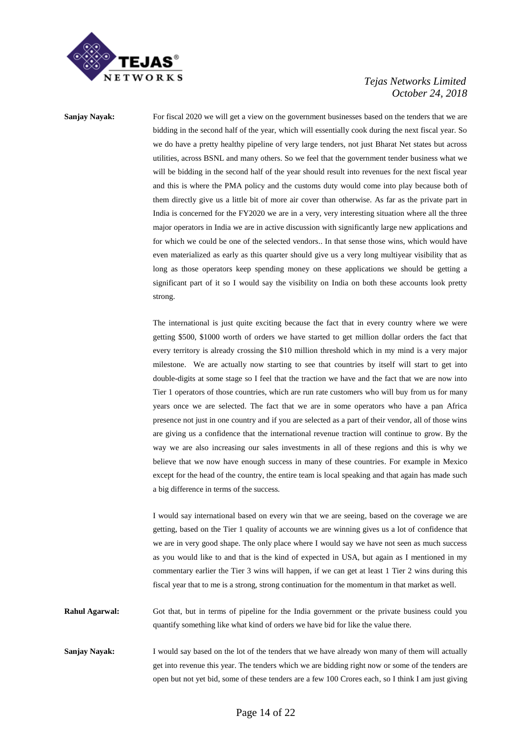

**Sanjay Nayak:** For fiscal 2020 we will get a view on the government businesses based on the tenders that we are bidding in the second half of the year, which will essentially cook during the next fiscal year. So we do have a pretty healthy pipeline of very large tenders, not just Bharat Net states but across utilities, across BSNL and many others. So we feel that the government tender business what we will be bidding in the second half of the year should result into revenues for the next fiscal year and this is where the PMA policy and the customs duty would come into play because both of them directly give us a little bit of more air cover than otherwise. As far as the private part in India is concerned for the FY2020 we are in a very, very interesting situation where all the three major operators in India we are in active discussion with significantly large new applications and for which we could be one of the selected vendors.. In that sense those wins, which would have even materialized as early as this quarter should give us a very long multiyear visibility that as long as those operators keep spending money on these applications we should be getting a significant part of it so I would say the visibility on India on both these accounts look pretty strong.

> The international is just quite exciting because the fact that in every country where we were getting \$500, \$1000 worth of orders we have started to get million dollar orders the fact that every territory is already crossing the \$10 million threshold which in my mind is a very major milestone. We are actually now starting to see that countries by itself will start to get into double-digits at some stage so I feel that the traction we have and the fact that we are now into Tier 1 operators of those countries, which are run rate customers who will buy from us for many years once we are selected. The fact that we are in some operators who have a pan Africa presence not just in one country and if you are selected as a part of their vendor, all of those wins are giving us a confidence that the international revenue traction will continue to grow. By the way we are also increasing our sales investments in all of these regions and this is why we believe that we now have enough success in many of these countries. For example in Mexico except for the head of the country, the entire team is local speaking and that again has made such a big difference in terms of the success.

> I would say international based on every win that we are seeing, based on the coverage we are getting, based on the Tier 1 quality of accounts we are winning gives us a lot of confidence that we are in very good shape. The only place where I would say we have not seen as much success as you would like to and that is the kind of expected in USA, but again as I mentioned in my commentary earlier the Tier 3 wins will happen, if we can get at least 1 Tier 2 wins during this fiscal year that to me is a strong, strong continuation for the momentum in that market as well.

**Rahul Agarwal:** Got that, but in terms of pipeline for the India government or the private business could you quantify something like what kind of orders we have bid for like the value there.

**Sanjay Nayak:** I would say based on the lot of the tenders that we have already won many of them will actually get into revenue this year. The tenders which we are bidding right now or some of the tenders are open but not yet bid, some of these tenders are a few 100 Crores each, so I think I am just giving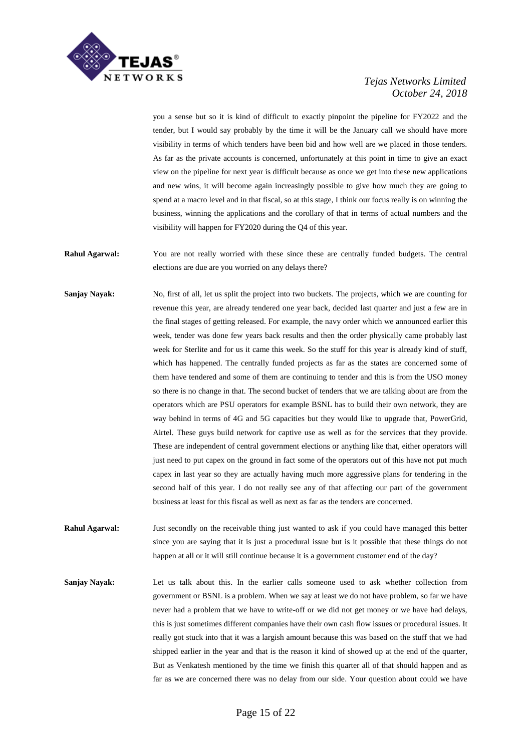

you a sense but so it is kind of difficult to exactly pinpoint the pipeline for FY2022 and the tender, but I would say probably by the time it will be the January call we should have more visibility in terms of which tenders have been bid and how well are we placed in those tenders. As far as the private accounts is concerned, unfortunately at this point in time to give an exact view on the pipeline for next year is difficult because as once we get into these new applications and new wins, it will become again increasingly possible to give how much they are going to spend at a macro level and in that fiscal, so at this stage, I think our focus really is on winning the business, winning the applications and the corollary of that in terms of actual numbers and the visibility will happen for FY2020 during the Q4 of this year.

**Rahul Agarwal:** You are not really worried with these since these are centrally funded budgets. The central elections are due are you worried on any delays there?

**Sanjay Nayak:** No, first of all, let us split the project into two buckets. The projects, which we are counting for revenue this year, are already tendered one year back, decided last quarter and just a few are in the final stages of getting released. For example, the navy order which we announced earlier this week, tender was done few years back results and then the order physically came probably last week for Sterlite and for us it came this week. So the stuff for this year is already kind of stuff, which has happened. The centrally funded projects as far as the states are concerned some of them have tendered and some of them are continuing to tender and this is from the USO money so there is no change in that. The second bucket of tenders that we are talking about are from the operators which are PSU operators for example BSNL has to build their own network, they are way behind in terms of 4G and 5G capacities but they would like to upgrade that, PowerGrid, Airtel. These guys build network for captive use as well as for the services that they provide. These are independent of central government elections or anything like that, either operators will just need to put capex on the ground in fact some of the operators out of this have not put much capex in last year so they are actually having much more aggressive plans for tendering in the second half of this year. I do not really see any of that affecting our part of the government business at least for this fiscal as well as next as far as the tenders are concerned.

**Rahul Agarwal:** Just secondly on the receivable thing just wanted to ask if you could have managed this better since you are saying that it is just a procedural issue but is it possible that these things do not happen at all or it will still continue because it is a government customer end of the day?

**Sanjay Nayak:** Let us talk about this. In the earlier calls someone used to ask whether collection from government or BSNL is a problem. When we say at least we do not have problem, so far we have never had a problem that we have to write-off or we did not get money or we have had delays, this is just sometimes different companies have their own cash flow issues or procedural issues. It really got stuck into that it was a largish amount because this was based on the stuff that we had shipped earlier in the year and that is the reason it kind of showed up at the end of the quarter, But as Venkatesh mentioned by the time we finish this quarter all of that should happen and as far as we are concerned there was no delay from our side. Your question about could we have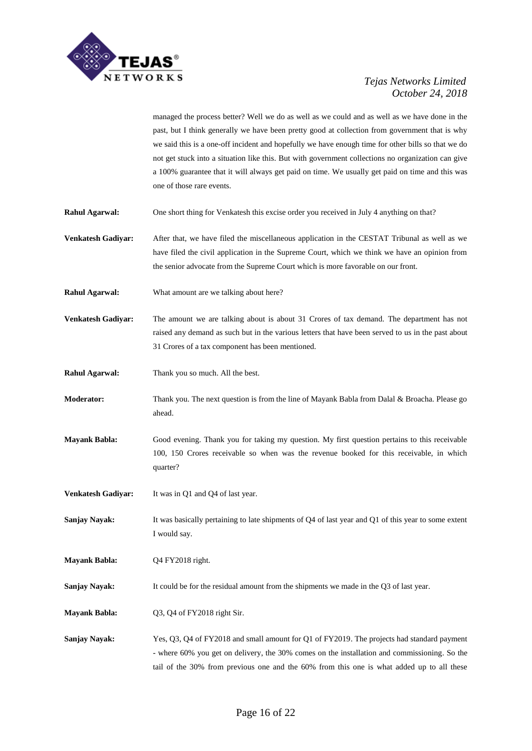

managed the process better? Well we do as well as we could and as well as we have done in the past, but I think generally we have been pretty good at collection from government that is why we said this is a one-off incident and hopefully we have enough time for other bills so that we do not get stuck into a situation like this. But with government collections no organization can give a 100% guarantee that it will always get paid on time. We usually get paid on time and this was one of those rare events.

- **Rahul Agarwal:** One short thing for Venkatesh this excise order you received in July 4 anything on that?
- **Venkatesh Gadiyar:** After that, we have filed the miscellaneous application in the CESTAT Tribunal as well as we have filed the civil application in the Supreme Court, which we think we have an opinion from the senior advocate from the Supreme Court which is more favorable on our front.
- **Rahul Agarwal:** What amount are we talking about here?

**Venkatesh Gadiyar:** The amount we are talking about is about 31 Crores of tax demand. The department has not raised any demand as such but in the various letters that have been served to us in the past about 31 Crores of a tax component has been mentioned.

- **Rahul Agarwal:** Thank you so much. All the best.
- **Moderator:** Thank you. The next question is from the line of Mayank Babla from Dalal & Broacha. Please go ahead.
- **Mayank Babla:** Good evening. Thank you for taking my question. My first question pertains to this receivable 100, 150 Crores receivable so when was the revenue booked for this receivable, in which quarter?
- **Venkatesh Gadiyar:** It was in Q1 and Q4 of last year.
- **Sanjay Nayak:** It was basically pertaining to late shipments of Q4 of last year and Q1 of this year to some extent I would say.

**Mayank Babla:** Q4 FY2018 right.

**Sanjay Nayak:** It could be for the residual amount from the shipments we made in the Q3 of last year.

**Mayank Babla:** Q3, Q4 of FY2018 right Sir.

**Sanjay Nayak:** Yes, Q3, Q4 of FY2018 and small amount for Q1 of FY2019. The projects had standard payment - where 60% you get on delivery, the 30% comes on the installation and commissioning. So the tail of the 30% from previous one and the 60% from this one is what added up to all these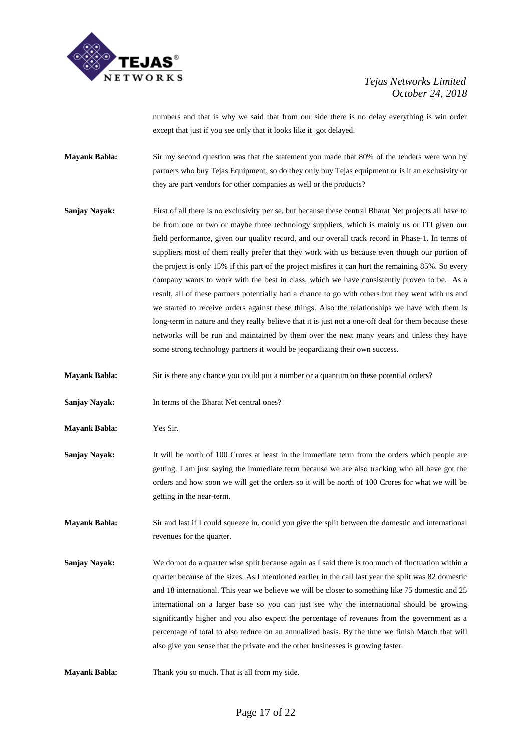

numbers and that is why we said that from our side there is no delay everything is win order except that just if you see only that it looks like it got delayed.

**Mayank Babla:** Sir my second question was that the statement you made that 80% of the tenders were won by partners who buy Tejas Equipment, so do they only buy Tejas equipment or is it an exclusivity or they are part vendors for other companies as well or the products?

- **Sanjay Nayak:** First of all there is no exclusivity per se, but because these central Bharat Net projects all have to be from one or two or maybe three technology suppliers, which is mainly us or ITI given our field performance, given our quality record, and our overall track record in Phase-1. In terms of suppliers most of them really prefer that they work with us because even though our portion of the project is only 15% if this part of the project misfires it can hurt the remaining 85%. So every company wants to work with the best in class, which we have consistently proven to be. As a result, all of these partners potentially had a chance to go with others but they went with us and we started to receive orders against these things. Also the relationships we have with them is long-term in nature and they really believe that it is just not a one-off deal for them because these networks will be run and maintained by them over the next many years and unless they have some strong technology partners it would be jeopardizing their own success.
- **Mayank Babla:** Sir is there any chance you could put a number or a quantum on these potential orders?
- **Sanjay Nayak:** In terms of the Bharat Net central ones?
- **Mayank Babla:** Yes Sir.
- **Sanjay Nayak:** It will be north of 100 Crores at least in the immediate term from the orders which people are getting. I am just saying the immediate term because we are also tracking who all have got the orders and how soon we will get the orders so it will be north of 100 Crores for what we will be getting in the near-term.

**Mayank Babla:** Sir and last if I could squeeze in, could you give the split between the domestic and international revenues for the quarter.

**Sanjay Nayak:** We do not do a quarter wise split because again as I said there is too much of fluctuation within a quarter because of the sizes. As I mentioned earlier in the call last year the split was 82 domestic and 18 international. This year we believe we will be closer to something like 75 domestic and 25 international on a larger base so you can just see why the international should be growing significantly higher and you also expect the percentage of revenues from the government as a percentage of total to also reduce on an annualized basis. By the time we finish March that will also give you sense that the private and the other businesses is growing faster.

**Mayank Babla:** Thank you so much. That is all from my side.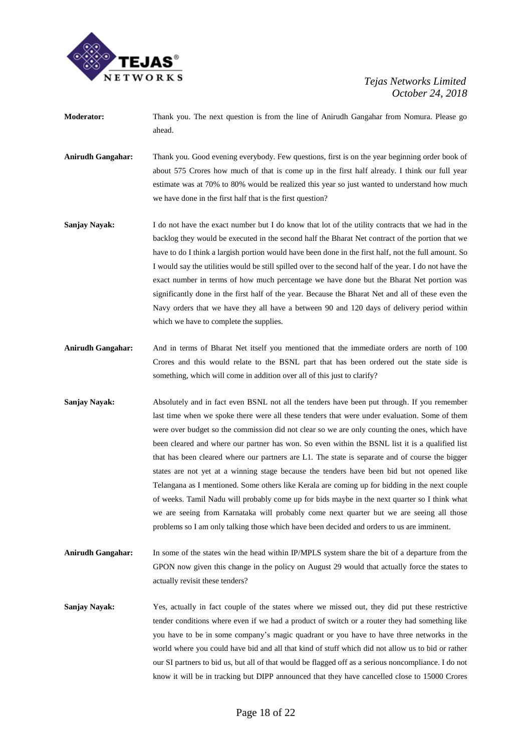

- **Moderator:** Thank you. The next question is from the line of Anirudh Gangahar from Nomura. Please go ahead.
- **Anirudh Gangahar:** Thank you. Good evening everybody. Few questions, first is on the year beginning order book of about 575 Crores how much of that is come up in the first half already. I think our full year estimate was at 70% to 80% would be realized this year so just wanted to understand how much we have done in the first half that is the first question?
- **Sanjay Nayak:** I do not have the exact number but I do know that lot of the utility contracts that we had in the backlog they would be executed in the second half the Bharat Net contract of the portion that we have to do I think a largish portion would have been done in the first half, not the full amount. So I would say the utilities would be still spilled over to the second half of the year. I do not have the exact number in terms of how much percentage we have done but the Bharat Net portion was significantly done in the first half of the year. Because the Bharat Net and all of these even the Navy orders that we have they all have a between 90 and 120 days of delivery period within which we have to complete the supplies.
- **Anirudh Gangahar:** And in terms of Bharat Net itself you mentioned that the immediate orders are north of 100 Crores and this would relate to the BSNL part that has been ordered out the state side is something, which will come in addition over all of this just to clarify?
- **Sanjay Nayak:** Absolutely and in fact even BSNL not all the tenders have been put through. If you remember last time when we spoke there were all these tenders that were under evaluation. Some of them were over budget so the commission did not clear so we are only counting the ones, which have been cleared and where our partner has won. So even within the BSNL list it is a qualified list that has been cleared where our partners are L1. The state is separate and of course the bigger states are not yet at a winning stage because the tenders have been bid but not opened like Telangana as I mentioned. Some others like Kerala are coming up for bidding in the next couple of weeks. Tamil Nadu will probably come up for bids maybe in the next quarter so I think what we are seeing from Karnataka will probably come next quarter but we are seeing all those problems so I am only talking those which have been decided and orders to us are imminent.
- **Anirudh Gangahar:** In some of the states win the head within IP/MPLS system share the bit of a departure from the GPON now given this change in the policy on August 29 would that actually force the states to actually revisit these tenders?
- **Sanjay Nayak:** Yes, actually in fact couple of the states where we missed out, they did put these restrictive tender conditions where even if we had a product of switch or a router they had something like you have to be in some company's magic quadrant or you have to have three networks in the world where you could have bid and all that kind of stuff which did not allow us to bid or rather our SI partners to bid us, but all of that would be flagged off as a serious noncompliance. I do not know it will be in tracking but DIPP announced that they have cancelled close to 15000 Crores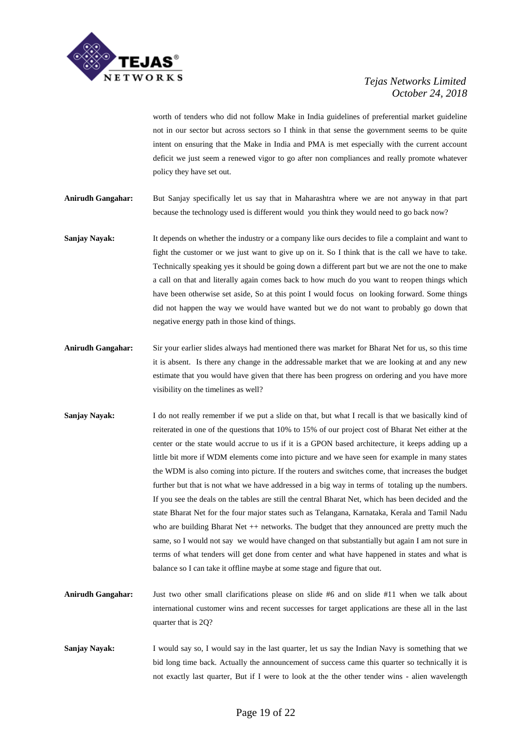

worth of tenders who did not follow Make in India guidelines of preferential market guideline not in our sector but across sectors so I think in that sense the government seems to be quite intent on ensuring that the Make in India and PMA is met especially with the current account deficit we just seem a renewed vigor to go after non compliances and really promote whatever policy they have set out.

**Anirudh Gangahar:** But Sanjay specifically let us say that in Maharashtra where we are not anyway in that part because the technology used is different would you think they would need to go back now?

- **Sanjay Nayak:** It depends on whether the industry or a company like ours decides to file a complaint and want to fight the customer or we just want to give up on it. So I think that is the call we have to take. Technically speaking yes it should be going down a different part but we are not the one to make a call on that and literally again comes back to how much do you want to reopen things which have been otherwise set aside, So at this point I would focus on looking forward. Some things did not happen the way we would have wanted but we do not want to probably go down that negative energy path in those kind of things.
- **Anirudh Gangahar:** Sir your earlier slides always had mentioned there was market for Bharat Net for us, so this time it is absent. Is there any change in the addressable market that we are looking at and any new estimate that you would have given that there has been progress on ordering and you have more visibility on the timelines as well?
- **Sanjay Nayak:** I do not really remember if we put a slide on that, but what I recall is that we basically kind of reiterated in one of the questions that 10% to 15% of our project cost of Bharat Net either at the center or the state would accrue to us if it is a GPON based architecture, it keeps adding up a little bit more if WDM elements come into picture and we have seen for example in many states the WDM is also coming into picture. If the routers and switches come, that increases the budget further but that is not what we have addressed in a big way in terms of totaling up the numbers. If you see the deals on the tables are still the central Bharat Net, which has been decided and the state Bharat Net for the four major states such as Telangana, Karnataka, Kerala and Tamil Nadu who are building Bharat Net  $++$  networks. The budget that they announced are pretty much the same, so I would not say we would have changed on that substantially but again I am not sure in terms of what tenders will get done from center and what have happened in states and what is balance so I can take it offline maybe at some stage and figure that out.
- **Anirudh Gangahar:** Just two other small clarifications please on slide #6 and on slide #11 when we talk about international customer wins and recent successes for target applications are these all in the last quarter that is 2Q?
- **Sanjay Nayak:** I would say so, I would say in the last quarter, let us say the Indian Navy is something that we bid long time back. Actually the announcement of success came this quarter so technically it is not exactly last quarter, But if I were to look at the the other tender wins - alien wavelength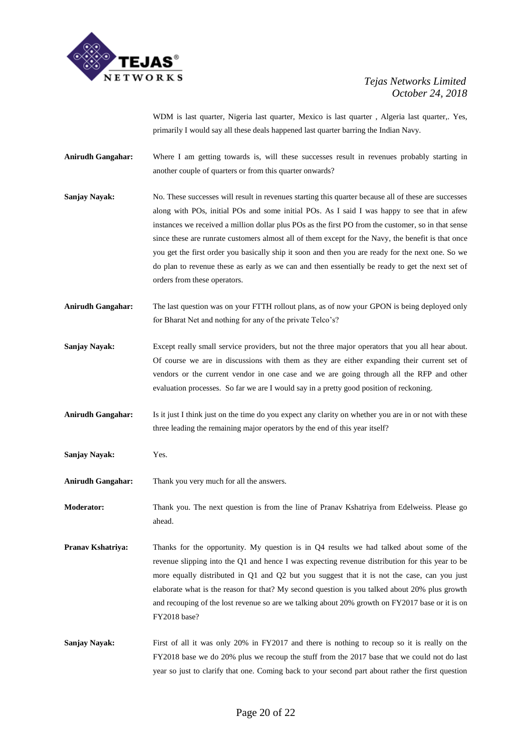

WDM is last quarter, Nigeria last quarter, Mexico is last quarter , Algeria last quarter,. Yes, primarily I would say all these deals happened last quarter barring the Indian Navy.

- **Anirudh Gangahar:** Where I am getting towards is, will these successes result in revenues probably starting in another couple of quarters or from this quarter onwards?
- **Sanjay Nayak:** No. These successes will result in revenues starting this quarter because all of these are successes along with POs, initial POs and some initial POs. As I said I was happy to see that in afew instances we received a million dollar plus POs as the first PO from the customer, so in that sense since these are runrate customers almost all of them except for the Navy, the benefit is that once you get the first order you basically ship it soon and then you are ready for the next one. So we do plan to revenue these as early as we can and then essentially be ready to get the next set of orders from these operators.
- **Anirudh Gangahar:** The last question was on your FTTH rollout plans, as of now your GPON is being deployed only for Bharat Net and nothing for any of the private Telco's?
- **Sanjay Nayak:** Except really small service providers, but not the three major operators that you all hear about. Of course we are in discussions with them as they are either expanding their current set of vendors or the current vendor in one case and we are going through all the RFP and other evaluation processes. So far we are I would say in a pretty good position of reckoning.
- **Anirudh Gangahar:** Is it just I think just on the time do you expect any clarity on whether you are in or not with these three leading the remaining major operators by the end of this year itself?
- **Sanjay Nayak:** Yes.
- **Anirudh Gangahar:** Thank you very much for all the answers.
- **Moderator:** Thank you. The next question is from the line of Pranav Kshatriya from Edelweiss. Please go ahead.
- **Pranav Kshatriya:** Thanks for the opportunity. My question is in Q4 results we had talked about some of the revenue slipping into the Q1 and hence I was expecting revenue distribution for this year to be more equally distributed in Q1 and Q2 but you suggest that it is not the case, can you just elaborate what is the reason for that? My second question is you talked about 20% plus growth and recouping of the lost revenue so are we talking about 20% growth on FY2017 base or it is on FY2018 base?
- **Sanjay Nayak:** First of all it was only 20% in FY2017 and there is nothing to recoup so it is really on the FY2018 base we do 20% plus we recoup the stuff from the 2017 base that we could not do last year so just to clarify that one. Coming back to your second part about rather the first question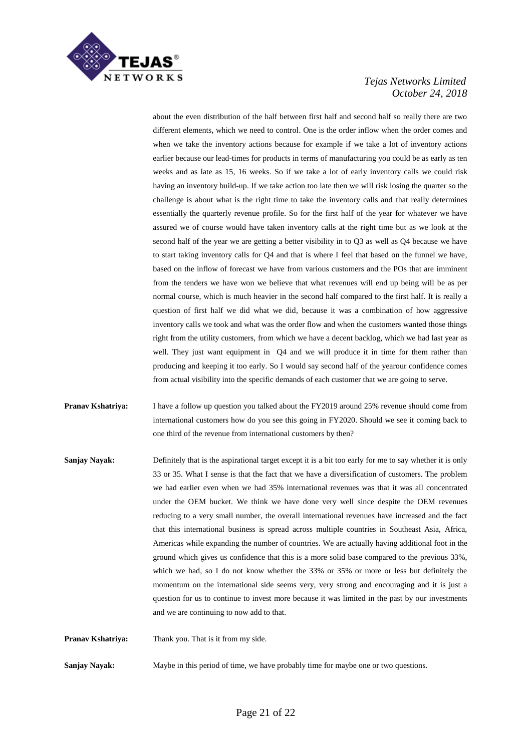

about the even distribution of the half between first half and second half so really there are two different elements, which we need to control. One is the order inflow when the order comes and when we take the inventory actions because for example if we take a lot of inventory actions earlier because our lead-times for products in terms of manufacturing you could be as early as ten weeks and as late as 15, 16 weeks. So if we take a lot of early inventory calls we could risk having an inventory build-up. If we take action too late then we will risk losing the quarter so the challenge is about what is the right time to take the inventory calls and that really determines essentially the quarterly revenue profile. So for the first half of the year for whatever we have assured we of course would have taken inventory calls at the right time but as we look at the second half of the year we are getting a better visibility in to Q3 as well as Q4 because we have to start taking inventory calls for Q4 and that is where I feel that based on the funnel we have, based on the inflow of forecast we have from various customers and the POs that are imminent from the tenders we have won we believe that what revenues will end up being will be as per normal course, which is much heavier in the second half compared to the first half. It is really a question of first half we did what we did, because it was a combination of how aggressive inventory calls we took and what was the order flow and when the customers wanted those things right from the utility customers, from which we have a decent backlog, which we had last year as well. They just want equipment in Q4 and we will produce it in time for them rather than producing and keeping it too early. So I would say second half of the yearour confidence comes from actual visibility into the specific demands of each customer that we are going to serve.

- **Pranav Kshatriya:** I have a follow up question you talked about the FY2019 around 25% revenue should come from international customers how do you see this going in FY2020. Should we see it coming back to one third of the revenue from international customers by then?
- **Sanjay Nayak:** Definitely that is the aspirational target except it is a bit too early for me to say whether it is only 33 or 35. What I sense is that the fact that we have a diversification of customers. The problem we had earlier even when we had 35% international revenues was that it was all concentrated under the OEM bucket. We think we have done very well since despite the OEM revenues reducing to a very small number, the overall international revenues have increased and the fact that this international business is spread across multiple countries in Southeast Asia, Africa, Americas while expanding the number of countries. We are actually having additional foot in the ground which gives us confidence that this is a more solid base compared to the previous 33%, which we had, so I do not know whether the 33% or 35% or more or less but definitely the momentum on the international side seems very, very strong and encouraging and it is just a question for us to continue to invest more because it was limited in the past by our investments and we are continuing to now add to that.

**Pranav Kshatriya:** Thank you. That is it from my side.

**Sanjay Nayak:** Maybe in this period of time, we have probably time for maybe one or two questions.